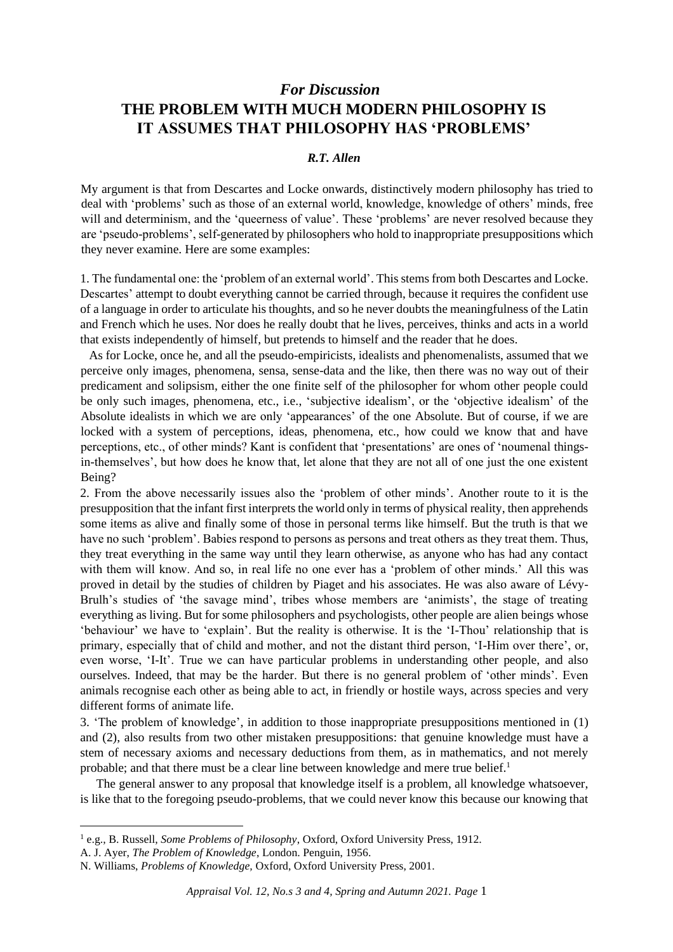## *For Discussion* **THE PROBLEM WITH MUCH MODERN PHILOSOPHY IS IT ASSUMES THAT PHILOSOPHY HAS 'PROBLEMS'**

## *R.T. Allen*

My argument is that from Descartes and Locke onwards, distinctively modern philosophy has tried to deal with 'problems' such as those of an external world, knowledge, knowledge of others' minds, free will and determinism, and the 'queerness of value'. These 'problems' are never resolved because they are 'pseudo-problems', self-generated by philosophers who hold to inappropriate presuppositions which they never examine. Here are some examples:

1. The fundamental one: the 'problem of an external world'. This stems from both Descartes and Locke. Descartes' attempt to doubt everything cannot be carried through, because it requires the confident use of a language in order to articulate his thoughts, and so he never doubts the meaningfulness of the Latin and French which he uses. Nor does he really doubt that he lives, perceives, thinks and acts in a world that exists independently of himself, but pretends to himself and the reader that he does.

As for Locke, once he, and all the pseudo-empiricists, idealists and phenomenalists, assumed that we perceive only images, phenomena, sensa, sense-data and the like, then there was no way out of their predicament and solipsism, either the one finite self of the philosopher for whom other people could be only such images, phenomena, etc., i.e., 'subjective idealism', or the 'objective idealism' of the Absolute idealists in which we are only 'appearances' of the one Absolute. But of course, if we are locked with a system of perceptions, ideas, phenomena, etc., how could we know that and have perceptions, etc., of other minds? Kant is confident that 'presentations' are ones of 'noumenal thingsin-themselves', but how does he know that, let alone that they are not all of one just the one existent Being?

2. From the above necessarily issues also the 'problem of other minds'. Another route to it is the presupposition that the infant first interprets the world only in terms of physical reality, then apprehends some items as alive and finally some of those in personal terms like himself. But the truth is that we have no such 'problem'. Babies respond to persons as persons and treat others as they treat them. Thus, they treat everything in the same way until they learn otherwise, as anyone who has had any contact with them will know. And so, in real life no one ever has a 'problem of other minds.' All this was proved in detail by the studies of children by Piaget and his associates. He was also aware of Lévy-Brulh's studies of 'the savage mind', tribes whose members are 'animists', the stage of treating everything as living. But for some philosophers and psychologists, other people are alien beings whose 'behaviour' we have to 'explain'. But the reality is otherwise. It is the 'I-Thou' relationship that is primary, especially that of child and mother, and not the distant third person, 'I-Him over there', or, even worse, 'I-It'. True we can have particular problems in understanding other people, and also ourselves. Indeed, that may be the harder. But there is no general problem of 'other minds'. Even animals recognise each other as being able to act, in friendly or hostile ways, across species and very different forms of animate life.

3. 'The problem of knowledge', in addition to those inappropriate presuppositions mentioned in (1) and (2), also results from two other mistaken presuppositions: that genuine knowledge must have a stem of necessary axioms and necessary deductions from them, as in mathematics, and not merely probable; and that there must be a clear line between knowledge and mere true belief. $<sup>1</sup>$ </sup>

The general answer to any proposal that knowledge itself is a problem, all knowledge whatsoever, is like that to the foregoing pseudo-problems, that we could never know this because our knowing that

<sup>1</sup> e.g., B. Russell, *Some Problems of Philosophy*, Oxford, Oxford University Press, 1912.

A. J. Ayer, *The Problem of Knowledge*, London. Penguin, 1956.

N. Williams, *Problems of Knowledge,* Oxford, Oxford University Press, 2001.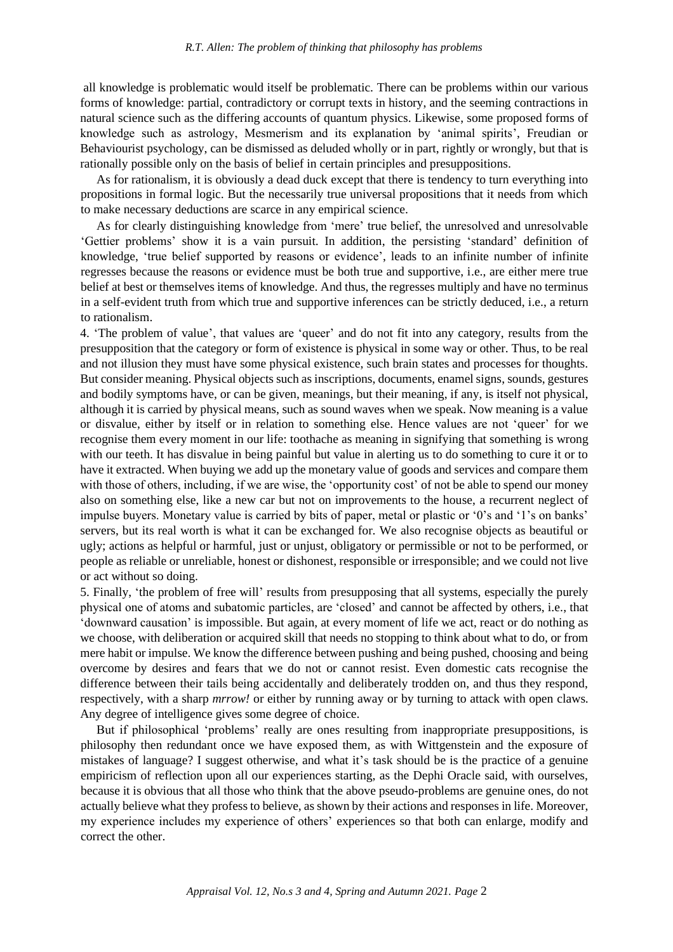all knowledge is problematic would itself be problematic. There can be problems within our various forms of knowledge: partial, contradictory or corrupt texts in history, and the seeming contractions in natural science such as the differing accounts of quantum physics. Likewise, some proposed forms of knowledge such as astrology, Mesmerism and its explanation by 'animal spirits', Freudian or Behaviourist psychology, can be dismissed as deluded wholly or in part, rightly or wrongly, but that is rationally possible only on the basis of belief in certain principles and presuppositions.

As for rationalism, it is obviously a dead duck except that there is tendency to turn everything into propositions in formal logic. But the necessarily true universal propositions that it needs from which to make necessary deductions are scarce in any empirical science.

As for clearly distinguishing knowledge from 'mere' true belief, the unresolved and unresolvable 'Gettier problems' show it is a vain pursuit. In addition, the persisting 'standard' definition of knowledge, 'true belief supported by reasons or evidence', leads to an infinite number of infinite regresses because the reasons or evidence must be both true and supportive, i.e., are either mere true belief at best or themselves items of knowledge. And thus, the regresses multiply and have no terminus in a self-evident truth from which true and supportive inferences can be strictly deduced, i.e., a return to rationalism.

4. 'The problem of value', that values are 'queer' and do not fit into any category, results from the presupposition that the category or form of existence is physical in some way or other. Thus, to be real and not illusion they must have some physical existence, such brain states and processes for thoughts. But consider meaning. Physical objects such as inscriptions, documents, enamel signs, sounds, gestures and bodily symptoms have, or can be given, meanings, but their meaning, if any, is itself not physical, although it is carried by physical means, such as sound waves when we speak. Now meaning is a value or disvalue, either by itself or in relation to something else. Hence values are not 'queer' for we recognise them every moment in our life: toothache as meaning in signifying that something is wrong with our teeth. It has disvalue in being painful but value in alerting us to do something to cure it or to have it extracted. When buying we add up the monetary value of goods and services and compare them with those of others, including, if we are wise, the 'opportunity cost' of not be able to spend our money also on something else, like a new car but not on improvements to the house, a recurrent neglect of impulse buyers. Monetary value is carried by bits of paper, metal or plastic or '0's and '1's on banks' servers, but its real worth is what it can be exchanged for. We also recognise objects as beautiful or ugly; actions as helpful or harmful, just or unjust, obligatory or permissible or not to be performed, or people as reliable or unreliable, honest or dishonest, responsible or irresponsible; and we could not live or act without so doing.

5. Finally, 'the problem of free will' results from presupposing that all systems, especially the purely physical one of atoms and subatomic particles, are 'closed' and cannot be affected by others, i.e., that 'downward causation' is impossible. But again, at every moment of life we act, react or do nothing as we choose, with deliberation or acquired skill that needs no stopping to think about what to do, or from mere habit or impulse. We know the difference between pushing and being pushed, choosing and being overcome by desires and fears that we do not or cannot resist. Even domestic cats recognise the difference between their tails being accidentally and deliberately trodden on, and thus they respond, respectively, with a sharp *mrrow!* or either by running away or by turning to attack with open claws. Any degree of intelligence gives some degree of choice.

But if philosophical 'problems' really are ones resulting from inappropriate presuppositions, is philosophy then redundant once we have exposed them, as with Wittgenstein and the exposure of mistakes of language? I suggest otherwise, and what it's task should be is the practice of a genuine empiricism of reflection upon all our experiences starting, as the Dephi Oracle said, with ourselves, because it is obvious that all those who think that the above pseudo-problems are genuine ones, do not actually believe what they profess to believe, as shown by their actions and responses in life. Moreover, my experience includes my experience of others' experiences so that both can enlarge, modify and correct the other.